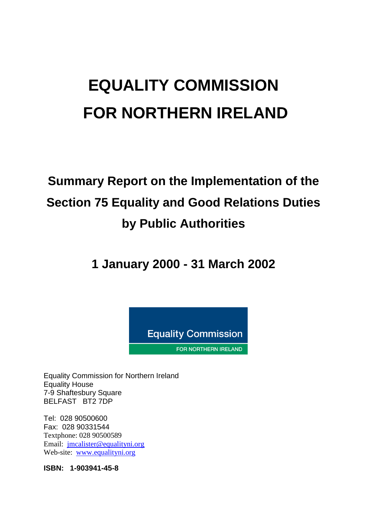# **EQUALITY COMMISSION FOR NORTHERN IRELAND**

## **Summary Report on the Implementation of the Section 75 Equality and Good Relations Duties by Public Authorities**

**1 January 2000 - 31 March 2002**



Equality Commission for Northern Ireland Equality House 7-9 Shaftesbury Square BELFAST BT2 7DP

Tel: 028 90500600 Fax: 028 90331544 Textphone: 028 90500589 Email: [jmcalister@equalityni.org](mailto:jmcalister@equalityni.org) Web-site: [www.equalityni.org](http://www.equalityni.org/)

**ISBN: 1-903941-45-8**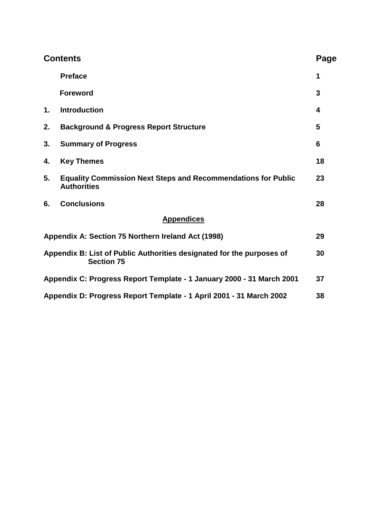| <b>Contents</b> |                                                                                            | Page |
|-----------------|--------------------------------------------------------------------------------------------|------|
|                 | <b>Preface</b>                                                                             | 1    |
|                 | <b>Foreword</b>                                                                            | 3    |
| $\mathbf 1$ .   | <b>Introduction</b>                                                                        | 4    |
| 2.              | <b>Background &amp; Progress Report Structure</b>                                          | 5    |
| 3.              | <b>Summary of Progress</b>                                                                 | 6    |
| 4.              | <b>Key Themes</b>                                                                          | 18   |
| 5.              | <b>Equality Commission Next Steps and Recommendations for Public</b><br><b>Authorities</b> | 23   |
| 6.              | <b>Conclusions</b>                                                                         | 28   |
|                 | <b>Appendices</b>                                                                          |      |
|                 | Appendix A: Section 75 Northern Ireland Act (1998)                                         | 29   |
|                 | Appendix B: List of Public Authorities designated for the purposes of<br><b>Section 75</b> | 30   |
|                 | Appendix C: Progress Report Template - 1 January 2000 - 31 March 2001                      | 37   |
|                 | Appendix D: Progress Report Template - 1 April 2001 - 31 March 2002                        | 38   |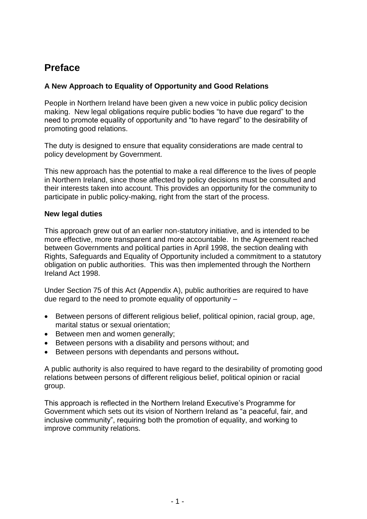## **Preface**

#### **A New Approach to Equality of Opportunity and Good Relations**

People in Northern Ireland have been given a new voice in public policy decision making. New legal obligations require public bodies "to have due regard" to the need to promote equality of opportunity and "to have regard" to the desirability of promoting good relations.

The duty is designed to ensure that equality considerations are made central to policy development by Government.

This new approach has the potential to make a real difference to the lives of people in Northern Ireland, since those affected by policy decisions must be consulted and their interests taken into account. This provides an opportunity for the community to participate in public policy-making, right from the start of the process.

#### **New legal duties**

This approach grew out of an earlier non-statutory initiative, and is intended to be more effective, more transparent and more accountable. In the Agreement reached between Governments and political parties in April 1998, the section dealing with Rights, Safeguards and Equality of Opportunity included a commitment to a statutory obligation on public authorities. This was then implemented through the Northern Ireland Act 1998.

Under Section 75 of this Act (Appendix A), public authorities are required to have due regard to the need to promote equality of opportunity –

- Between persons of different religious belief, political opinion, racial group, age, marital status or sexual orientation;
- Between men and women generally;
- Between persons with a disability and persons without; and
- Between persons with dependants and persons without**.**

A public authority is also required to have regard to the desirability of promoting good relations between persons of different religious belief, political opinion or racial group.

This approach is reflected in the Northern Ireland Executive's Programme for Government which sets out its vision of Northern Ireland as "a peaceful, fair, and inclusive community", requiring both the promotion of equality, and working to improve community relations.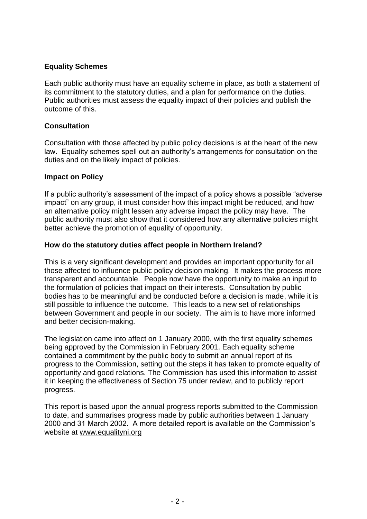#### **Equality Schemes**

Each public authority must have an equality scheme in place, as both a statement of its commitment to the statutory duties, and a plan for performance on the duties. Public authorities must assess the equality impact of their policies and publish the outcome of this.

#### **Consultation**

Consultation with those affected by public policy decisions is at the heart of the new law. Equality schemes spell out an authority's arrangements for consultation on the duties and on the likely impact of policies.

#### **Impact on Policy**

If a public authority's assessment of the impact of a policy shows a possible "adverse impact" on any group, it must consider how this impact might be reduced, and how an alternative policy might lessen any adverse impact the policy may have. The public authority must also show that it considered how any alternative policies might better achieve the promotion of equality of opportunity.

#### **How do the statutory duties affect people in Northern Ireland?**

This is a very significant development and provides an important opportunity for all those affected to influence public policy decision making. It makes the process more transparent and accountable. People now have the opportunity to make an input to the formulation of policies that impact on their interests. Consultation by public bodies has to be meaningful and be conducted before a decision is made, while it is still possible to influence the outcome. This leads to a new set of relationships between Government and people in our society. The aim is to have more informed and better decision-making.

The legislation came into affect on 1 January 2000, with the first equality schemes being approved by the Commission in February 2001. Each equality scheme contained a commitment by the public body to submit an annual report of its progress to the Commission, setting out the steps it has taken to promote equality of opportunity and good relations. The Commission has used this information to assist it in keeping the effectiveness of Section 75 under review, and to publicly report progress.

This report is based upon the annual progress reports submitted to the Commission to date, and summarises progress made by public authorities between 1 January 2000 and 31 March 2002. A more detailed report is available on the Commission's website at www.equalityni.org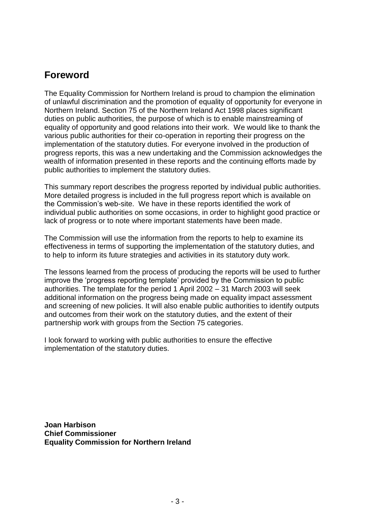## **Foreword**

The Equality Commission for Northern Ireland is proud to champion the elimination of unlawful discrimination and the promotion of equality of opportunity for everyone in Northern Ireland. Section 75 of the Northern Ireland Act 1998 places significant duties on public authorities, the purpose of which is to enable mainstreaming of equality of opportunity and good relations into their work. We would like to thank the various public authorities for their co-operation in reporting their progress on the implementation of the statutory duties. For everyone involved in the production of progress reports, this was a new undertaking and the Commission acknowledges the wealth of information presented in these reports and the continuing efforts made by public authorities to implement the statutory duties.

This summary report describes the progress reported by individual public authorities. More detailed progress is included in the full progress report which is available on the Commission's web-site. We have in these reports identified the work of individual public authorities on some occasions, in order to highlight good practice or lack of progress or to note where important statements have been made.

The Commission will use the information from the reports to help to examine its effectiveness in terms of supporting the implementation of the statutory duties, and to help to inform its future strategies and activities in its statutory duty work.

The lessons learned from the process of producing the reports will be used to further improve the 'progress reporting template' provided by the Commission to public authorities. The template for the period 1 April 2002 – 31 March 2003 will seek additional information on the progress being made on equality impact assessment and screening of new policies. It will also enable public authorities to identify outputs and outcomes from their work on the statutory duties, and the extent of their partnership work with groups from the Section 75 categories.

I look forward to working with public authorities to ensure the effective implementation of the statutory duties.

**Joan Harbison Chief Commissioner Equality Commission for Northern Ireland**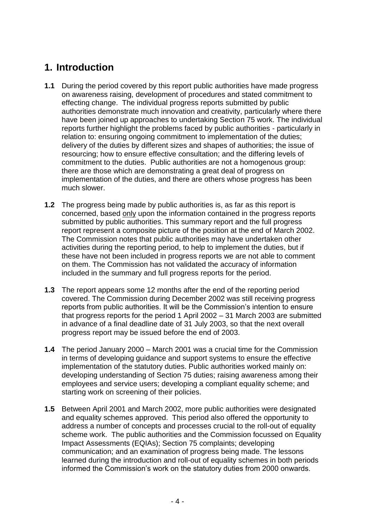## **1. Introduction**

- **1.1** During the period covered by this report public authorities have made progress on awareness raising, development of procedures and stated commitment to effecting change. The individual progress reports submitted by public authorities demonstrate much innovation and creativity, particularly where there have been joined up approaches to undertaking Section 75 work. The individual reports further highlight the problems faced by public authorities - particularly in relation to: ensuring ongoing commitment to implementation of the duties; delivery of the duties by different sizes and shapes of authorities; the issue of resourcing; how to ensure effective consultation; and the differing levels of commitment to the duties. Public authorities are not a homogenous group: there are those which are demonstrating a great deal of progress on implementation of the duties, and there are others whose progress has been much slower.
- **1.2** The progress being made by public authorities is, as far as this report is concerned, based only upon the information contained in the progress reports submitted by public authorities. This summary report and the full progress report represent a composite picture of the position at the end of March 2002. The Commission notes that public authorities may have undertaken other activities during the reporting period, to help to implement the duties, but if these have not been included in progress reports we are not able to comment on them. The Commission has not validated the accuracy of information included in the summary and full progress reports for the period.
- **1.3** The report appears some 12 months after the end of the reporting period covered. The Commission during December 2002 was still receiving progress reports from public authorities. It will be the Commission's intention to ensure that progress reports for the period 1 April 2002 – 31 March 2003 are submitted in advance of a final deadline date of 31 July 2003, so that the next overall progress report may be issued before the end of 2003.
- **1.4** The period January 2000 March 2001 was a crucial time for the Commission in terms of developing guidance and support systems to ensure the effective implementation of the statutory duties. Public authorities worked mainly on: developing understanding of Section 75 duties; raising awareness among their employees and service users; developing a compliant equality scheme; and starting work on screening of their policies.
- **1.5** Between April 2001 and March 2002, more public authorities were designated and equality schemes approved. This period also offered the opportunity to address a number of concepts and processes crucial to the roll-out of equality scheme work. The public authorities and the Commission focussed on Equality Impact Assessments (EQIAs); Section 75 complaints; developing communication; and an examination of progress being made. The lessons learned during the introduction and roll-out of equality schemes in both periods informed the Commission's work on the statutory duties from 2000 onwards.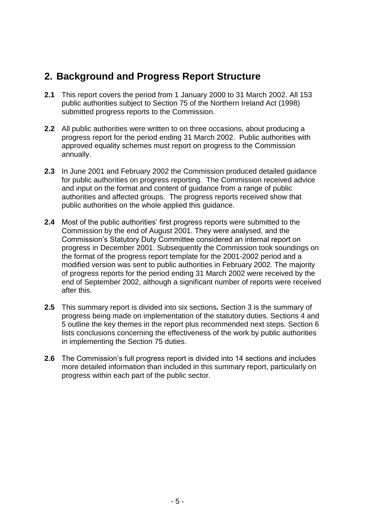## **2. Background and Progress Report Structure**

- **2.1** This report covers the period from 1 January 2000 to 31 March 2002. All 153 public authorities subject to Section 75 of the Northern Ireland Act (1998) submitted progress reports to the Commission.
- **2.2** All public authorities were written to on three occasions, about producing a progress report for the period ending 31 March 2002. Public authorities with approved equality schemes must report on progress to the Commission annually.
- **2.3** In June 2001 and February 2002 the Commission produced detailed guidance for public authorities on progress reporting. The Commission received advice and input on the format and content of guidance from a range of public authorities and affected groups. The progress reports received show that public authorities on the whole applied this guidance.
- **2.4** Most of the public authorities' first progress reports were submitted to the Commission by the end of August 2001. They were analysed, and the Commission's Statutory Duty Committee considered an internal report on progress in December 2001. Subsequently the Commission took soundings on the format of the progress report template for the 2001-2002 period and a modified version was sent to public authorities in February 2002. The majority of progress reports for the period ending 31 March 2002 were received by the end of September 2002, although a significant number of reports were received after this.
- **2.5** This summary report is divided into six sections*.* Section 3 is the summary of progress being made on implementation of the statutory duties. Sections 4 and 5 outline the key themes in the report plus recommended next steps. Section 6 lists conclusions concerning the effectiveness of the work by public authorities in implementing the Section 75 duties.
- **2.6** The Commission's full progress report is divided into 14 sections and includes more detailed information than included in this summary report, particularly on progress within each part of the public sector.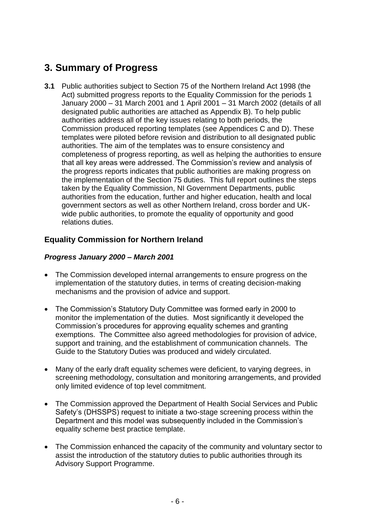## **3. Summary of Progress**

**3.1** Public authorities subject to Section 75 of the Northern Ireland Act 1998 (the Act) submitted progress reports to the Equality Commission for the periods 1 January 2000 – 31 March 2001 and 1 April 2001 – 31 March 2002 (details of all designated public authorities are attached as Appendix B). To help public authorities address all of the key issues relating to both periods, the Commission produced reporting templates (see Appendices C and D). These templates were piloted before revision and distribution to all designated public authorities. The aim of the templates was to ensure consistency and completeness of progress reporting, as well as helping the authorities to ensure that all key areas were addressed. The Commission's review and analysis of the progress reports indicates that public authorities are making progress on the implementation of the Section 75 duties. This full report outlines the steps taken by the Equality Commission, NI Government Departments, public authorities from the education, further and higher education, health and local government sectors as well as other Northern Ireland, cross border and UKwide public authorities, to promote the equality of opportunity and good relations duties.

#### **Equality Commission for Northern Ireland**

#### *Progress January 2000 – March 2001*

- The Commission developed internal arrangements to ensure progress on the implementation of the statutory duties, in terms of creating decision-making mechanisms and the provision of advice and support.
- The Commission's Statutory Duty Committee was formed early in 2000 to monitor the implementation of the duties. Most significantly it developed the Commission's procedures for approving equality schemes and granting exemptions. The Committee also agreed methodologies for provision of advice, support and training, and the establishment of communication channels. The Guide to the Statutory Duties was produced and widely circulated.
- Many of the early draft equality schemes were deficient, to varying degrees, in screening methodology, consultation and monitoring arrangements, and provided only limited evidence of top level commitment.
- The Commission approved the Department of Health Social Services and Public Safety's (DHSSPS) request to initiate a two-stage screening process within the Department and this model was subsequently included in the Commission's equality scheme best practice template.
- The Commission enhanced the capacity of the community and voluntary sector to assist the introduction of the statutory duties to public authorities through its Advisory Support Programme.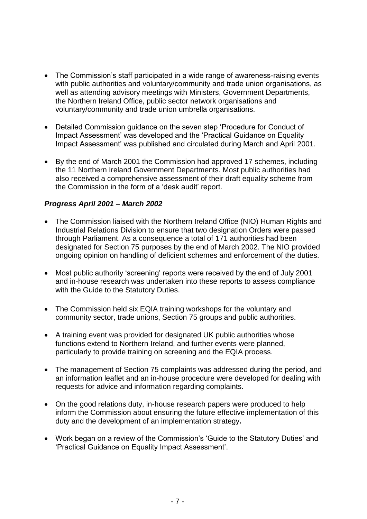- The Commission's staff participated in a wide range of awareness-raising events with public authorities and voluntary/community and trade union organisations, as well as attending advisory meetings with Ministers, Government Departments, the Northern Ireland Office, public sector network organisations and voluntary/community and trade union umbrella organisations.
- Detailed Commission guidance on the seven step 'Procedure for Conduct of Impact Assessment' was developed and the 'Practical Guidance on Equality Impact Assessment' was published and circulated during March and April 2001.
- By the end of March 2001 the Commission had approved 17 schemes, including the 11 Northern Ireland Government Departments. Most public authorities had also received a comprehensive assessment of their draft equality scheme from the Commission in the form of a 'desk audit' report.

#### *Progress April 2001 – March 2002*

- The Commission liaised with the Northern Ireland Office (NIO) Human Rights and Industrial Relations Division to ensure that two designation Orders were passed through Parliament. As a consequence a total of 171 authorities had been designated for Section 75 purposes by the end of March 2002. The NIO provided ongoing opinion on handling of deficient schemes and enforcement of the duties.
- Most public authority 'screening' reports were received by the end of July 2001 and in-house research was undertaken into these reports to assess compliance with the Guide to the Statutory Duties.
- The Commission held six EQIA training workshops for the voluntary and community sector, trade unions, Section 75 groups and public authorities.
- A training event was provided for designated UK public authorities whose functions extend to Northern Ireland, and further events were planned, particularly to provide training on screening and the EQIA process.
- The management of Section 75 complaints was addressed during the period, and an information leaflet and an in-house procedure were developed for dealing with requests for advice and information regarding complaints.
- On the good relations duty, in-house research papers were produced to help inform the Commission about ensuring the future effective implementation of this duty and the development of an implementation strategy**.**
- Work began on a review of the Commission's 'Guide to the Statutory Duties' and 'Practical Guidance on Equality Impact Assessment'.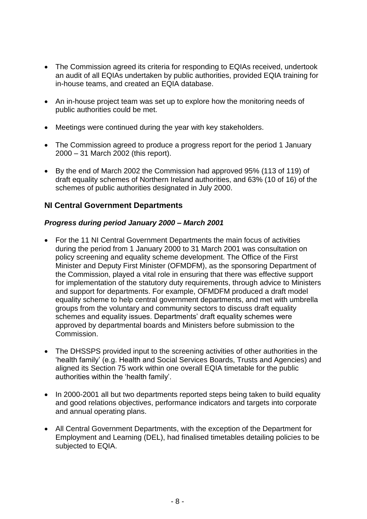- The Commission agreed its criteria for responding to EQIAs received, undertook an audit of all EQIAs undertaken by public authorities, provided EQIA training for in-house teams, and created an EQIA database.
- An in-house project team was set up to explore how the monitoring needs of public authorities could be met.
- Meetings were continued during the year with key stakeholders.
- The Commission agreed to produce a progress report for the period 1 January 2000 – 31 March 2002 (this report).
- By the end of March 2002 the Commission had approved 95% (113 of 119) of draft equality schemes of Northern Ireland authorities, and 63% (10 of 16) of the schemes of public authorities designated in July 2000.

#### **NI Central Government Departments**

#### *Progress during period January 2000 – March 2001*

- For the 11 NI Central Government Departments the main focus of activities during the period from 1 January 2000 to 31 March 2001 was consultation on policy screening and equality scheme development. The Office of the First Minister and Deputy First Minister (OFMDFM), as the sponsoring Department of the Commission, played a vital role in ensuring that there was effective support for implementation of the statutory duty requirements, through advice to Ministers and support for departments. For example, OFMDFM produced a draft model equality scheme to help central government departments, and met with umbrella groups from the voluntary and community sectors to discuss draft equality schemes and equality issues. Departments' draft equality schemes were approved by departmental boards and Ministers before submission to the Commission.
- The DHSSPS provided input to the screening activities of other authorities in the 'health family' (e.g. Health and Social Services Boards, Trusts and Agencies) and aligned its Section 75 work within one overall EQIA timetable for the public authorities within the 'health family'.
- In 2000-2001 all but two departments reported steps being taken to build equality and good relations objectives, performance indicators and targets into corporate and annual operating plans.
- All Central Government Departments, with the exception of the Department for Employment and Learning (DEL), had finalised timetables detailing policies to be subjected to EQIA.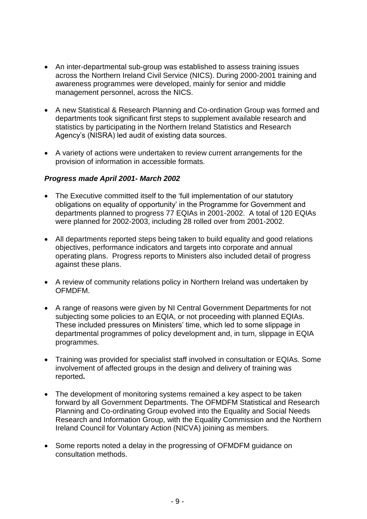- An inter-departmental sub-group was established to assess training issues across the Northern Ireland Civil Service (NICS). During 2000-2001 training and awareness programmes were developed, mainly for senior and middle management personnel, across the NICS.
- A new Statistical & Research Planning and Co-ordination Group was formed and departments took significant first steps to supplement available research and statistics by participating in the Northern Ireland Statistics and Research Agency's (NISRA) led audit of existing data sources.
- A variety of actions were undertaken to review current arrangements for the provision of information in accessible formats.

#### *Progress made April 2001- March 2002*

- The Executive committed itself to the 'full implementation of our statutory obligations on equality of opportunity' in the Programme for Government and departments planned to progress 77 EQIAs in 2001-2002. A total of 120 EQIAs were planned for 2002-2003, including 28 rolled over from 2001-2002.
- All departments reported steps being taken to build equality and good relations objectives, performance indicators and targets into corporate and annual operating plans. Progress reports to Ministers also included detail of progress against these plans.
- A review of community relations policy in Northern Ireland was undertaken by OFMDFM.
- A range of reasons were given by NI Central Government Departments for not subjecting some policies to an EQIA, or not proceeding with planned EQIAs. These included pressures on Ministers' time, which led to some slippage in departmental programmes of policy development and, in turn, slippage in EQIA programmes.
- Training was provided for specialist staff involved in consultation or EQIAs. Some involvement of affected groups in the design and delivery of training was reported**.**
- The development of monitoring systems remained a key aspect to be taken forward by all Government Departments. The OFMDFM Statistical and Research Planning and Co-ordinating Group evolved into the Equality and Social Needs Research and Information Group, with the Equality Commission and the Northern Ireland Council for Voluntary Action (NICVA) joining as members.
- Some reports noted a delay in the progressing of OFMDFM guidance on consultation methods.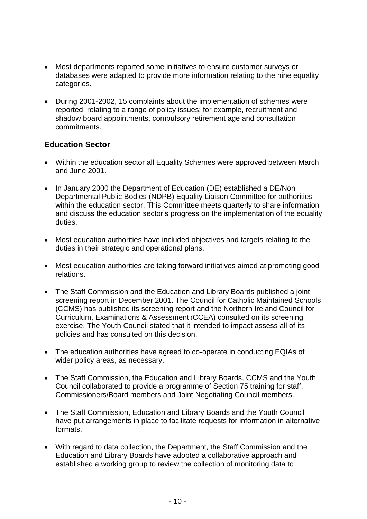- Most departments reported some initiatives to ensure customer surveys or databases were adapted to provide more information relating to the nine equality categories.
- During 2001-2002, 15 complaints about the implementation of schemes were reported, relating to a range of policy issues; for example, recruitment and shadow board appointments, compulsory retirement age and consultation commitments.

#### **Education Sector**

- Within the education sector all Equality Schemes were approved between March and June 2001.
- In January 2000 the Department of Education (DE) established a DE/Non Departmental Public Bodies (NDPB) Equality Liaison Committee for authorities within the education sector. This Committee meets quarterly to share information and discuss the education sector's progress on the implementation of the equality duties.
- Most education authorities have included objectives and targets relating to the duties in their strategic and operational plans.
- Most education authorities are taking forward initiatives aimed at promoting good relations.
- The Staff Commission and the Education and Library Boards published a joint screening report in December 2001. The Council for Catholic Maintained Schools (CCMS) has published its screening report and the Northern Ireland Council for Curriculum, Examinations & Assessment (CCEA) consulted on its screening exercise. The Youth Council stated that it intended to impact assess all of its policies and has consulted on this decision.
- The education authorities have agreed to co-operate in conducting EQIAs of wider policy areas, as necessary.
- The Staff Commission, the Education and Library Boards, CCMS and the Youth Council collaborated to provide a programme of Section 75 training for staff, Commissioners/Board members and Joint Negotiating Council members.
- The Staff Commission, Education and Library Boards and the Youth Council have put arrangements in place to facilitate requests for information in alternative formats.
- With regard to data collection, the Department, the Staff Commission and the Education and Library Boards have adopted a collaborative approach and established a working group to review the collection of monitoring data to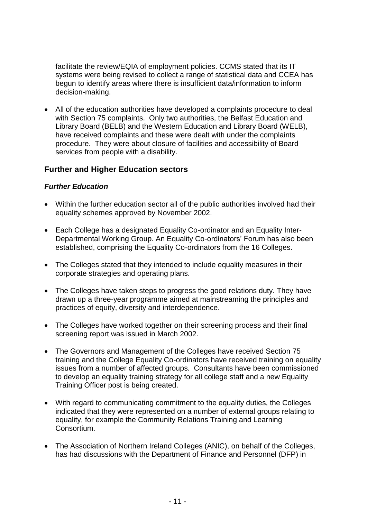facilitate the review/EQIA of employment policies. CCMS stated that its IT systems were being revised to collect a range of statistical data and CCEA has begun to identify areas where there is insufficient data/information to inform decision-making.

 All of the education authorities have developed a complaints procedure to deal with Section 75 complaints. Only two authorities, the Belfast Education and Library Board (BELB) and the Western Education and Library Board (WELB), have received complaints and these were dealt with under the complaints procedure. They were about closure of facilities and accessibility of Board services from people with a disability.

#### **Further and Higher Education sectors**

#### *Further Education*

- Within the further education sector all of the public authorities involved had their equality schemes approved by November 2002.
- Each College has a designated Equality Co-ordinator and an Equality Inter-Departmental Working Group. An Equality Co-ordinators' Forum has also been established, comprising the Equality Co-ordinators from the 16 Colleges.
- The Colleges stated that they intended to include equality measures in their corporate strategies and operating plans.
- The Colleges have taken steps to progress the good relations duty. They have drawn up a three-year programme aimed at mainstreaming the principles and practices of equity, diversity and interdependence.
- The Colleges have worked together on their screening process and their final screening report was issued in March 2002.
- The Governors and Management of the Colleges have received Section 75 training and the College Equality Co-ordinators have received training on equality issues from a number of affected groups. Consultants have been commissioned to develop an equality training strategy for all college staff and a new Equality Training Officer post is being created.
- With regard to communicating commitment to the equality duties, the Colleges indicated that they were represented on a number of external groups relating to equality, for example the Community Relations Training and Learning Consortium.
- The Association of Northern Ireland Colleges (ANIC), on behalf of the Colleges, has had discussions with the Department of Finance and Personnel (DFP) in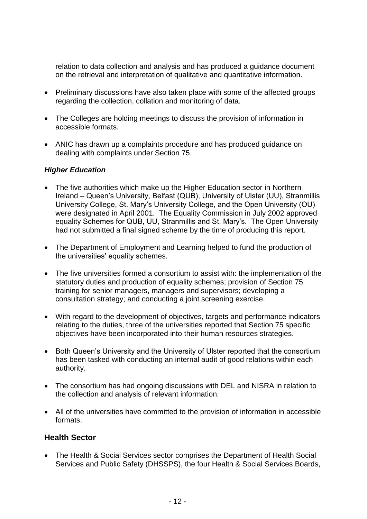relation to data collection and analysis and has produced a guidance document on the retrieval and interpretation of qualitative and quantitative information.

- Preliminary discussions have also taken place with some of the affected groups regarding the collection, collation and monitoring of data.
- The Colleges are holding meetings to discuss the provision of information in accessible formats.
- ANIC has drawn up a complaints procedure and has produced guidance on dealing with complaints under Section 75.

#### *Higher Education*

- The five authorities which make up the Higher Education sector in Northern Ireland – Queen's University, Belfast (QUB), University of Ulster (UU), Stranmillis University College, St. Mary's University College, and the Open University (OU) were designated in April 2001. The Equality Commission in July 2002 approved equality Schemes for QUB, UU, Stranmillis and St. Mary's. The Open University had not submitted a final signed scheme by the time of producing this report.
- The Department of Employment and Learning helped to fund the production of the universities' equality schemes.
- The five universities formed a consortium to assist with: the implementation of the statutory duties and production of equality schemes; provision of Section 75 training for senior managers, managers and supervisors; developing a consultation strategy; and conducting a joint screening exercise.
- With regard to the development of objectives, targets and performance indicators relating to the duties, three of the universities reported that Section 75 specific objectives have been incorporated into their human resources strategies.
- Both Queen's University and the University of Ulster reported that the consortium has been tasked with conducting an internal audit of good relations within each authority.
- The consortium has had ongoing discussions with DEL and NISRA in relation to the collection and analysis of relevant information.
- All of the universities have committed to the provision of information in accessible formats.

#### **Health Sector**

 The Health & Social Services sector comprises the Department of Health Social Services and Public Safety (DHSSPS), the four Health & Social Services Boards,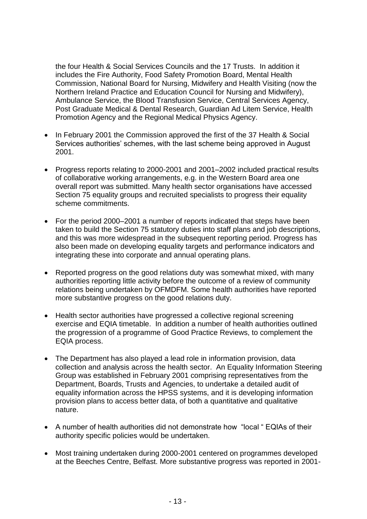the four Health & Social Services Councils and the 17 Trusts. In addition it includes the Fire Authority, Food Safety Promotion Board, Mental Health Commission, National Board for Nursing, Midwifery and Health Visiting (now the Northern Ireland Practice and Education Council for Nursing and Midwifery), Ambulance Service, the Blood Transfusion Service, Central Services Agency, Post Graduate Medical & Dental Research, Guardian Ad Litem Service, Health Promotion Agency and the Regional Medical Physics Agency.

- In February 2001 the Commission approved the first of the 37 Health & Social Services authorities' schemes, with the last scheme being approved in August 2001.
- Progress reports relating to 2000-2001 and 2001–2002 included practical results of collaborative working arrangements, e.g. in the Western Board area one overall report was submitted. Many health sector organisations have accessed Section 75 equality groups and recruited specialists to progress their equality scheme commitments.
- For the period 2000–2001 a number of reports indicated that steps have been taken to build the Section 75 statutory duties into staff plans and job descriptions, and this was more widespread in the subsequent reporting period. Progress has also been made on developing equality targets and performance indicators and integrating these into corporate and annual operating plans.
- Reported progress on the good relations duty was somewhat mixed, with many authorities reporting little activity before the outcome of a review of community relations being undertaken by OFMDFM. Some health authorities have reported more substantive progress on the good relations duty.
- Health sector authorities have progressed a collective regional screening exercise and EQIA timetable. In addition a number of health authorities outlined the progression of a programme of Good Practice Reviews, to complement the EQIA process.
- The Department has also played a lead role in information provision, data collection and analysis across the health sector. An Equality Information Steering Group was established in February 2001 comprising representatives from the Department, Boards, Trusts and Agencies, to undertake a detailed audit of equality information across the HPSS systems, and it is developing information provision plans to access better data, of both a quantitative and qualitative nature.
- A number of health authorities did not demonstrate how "local " EQIAs of their authority specific policies would be undertaken.
- Most training undertaken during 2000-2001 centered on programmes developed at the Beeches Centre, Belfast. More substantive progress was reported in 2001-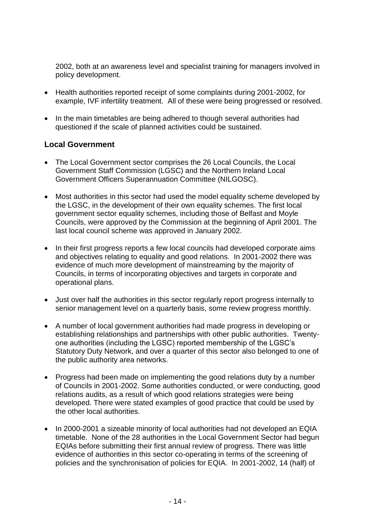2002, both at an awareness level and specialist training for managers involved in policy development.

- Health authorities reported receipt of some complaints during 2001-2002, for example, IVF infertility treatment. All of these were being progressed or resolved.
- In the main timetables are being adhered to though several authorities had questioned if the scale of planned activities could be sustained.

#### **Local Government**

- The Local Government sector comprises the 26 Local Councils, the Local Government Staff Commission (LGSC) and the Northern Ireland Local Government Officers Superannuation Committee (NILGOSC).
- Most authorities in this sector had used the model equality scheme developed by the LGSC, in the development of their own equality schemes. The first local government sector equality schemes, including those of Belfast and Moyle Councils, were approved by the Commission at the beginning of April 2001. The last local council scheme was approved in January 2002.
- In their first progress reports a few local councils had developed corporate aims and objectives relating to equality and good relations. In 2001-2002 there was evidence of much more development of mainstreaming by the majority of Councils, in terms of incorporating objectives and targets in corporate and operational plans.
- Just over half the authorities in this sector regularly report progress internally to senior management level on a quarterly basis, some review progress monthly.
- A number of local government authorities had made progress in developing or establishing relationships and partnerships with other public authorities. Twentyone authorities (including the LGSC) reported membership of the LGSC's Statutory Duty Network, and over a quarter of this sector also belonged to one of the public authority area networks.
- Progress had been made on implementing the good relations duty by a number of Councils in 2001-2002. Some authorities conducted, or were conducting, good relations audits, as a result of which good relations strategies were being developed. There were stated examples of good practice that could be used by the other local authorities.
- In 2000-2001 a sizeable minority of local authorities had not developed an EQIA timetable. None of the 28 authorities in the Local Government Sector had begun EQIAs before submitting their first annual review of progress. There was little evidence of authorities in this sector co-operating in terms of the screening of policies and the synchronisation of policies for EQIA. In 2001-2002, 14 (half) of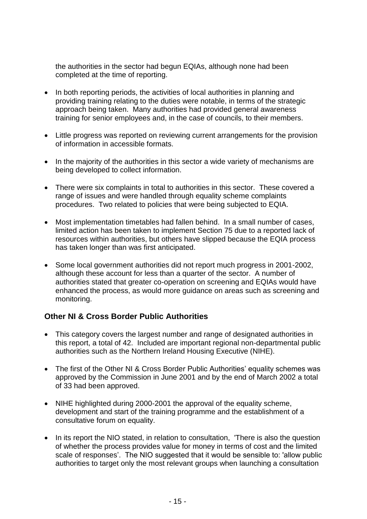the authorities in the sector had begun EQIAs, although none had been completed at the time of reporting.

- In both reporting periods, the activities of local authorities in planning and providing training relating to the duties were notable, in terms of the strategic approach being taken. Many authorities had provided general awareness training for senior employees and, in the case of councils, to their members.
- Little progress was reported on reviewing current arrangements for the provision of information in accessible formats.
- In the majority of the authorities in this sector a wide variety of mechanisms are being developed to collect information.
- There were six complaints in total to authorities in this sector. These covered a range of issues and were handled through equality scheme complaints procedures. Two related to policies that were being subjected to EQIA.
- Most implementation timetables had fallen behind. In a small number of cases, limited action has been taken to implement Section 75 due to a reported lack of resources within authorities, but others have slipped because the EQIA process has taken longer than was first anticipated.
- Some local government authorities did not report much progress in 2001-2002, although these account for less than a quarter of the sector. A number of authorities stated that greater co-operation on screening and EQIAs would have enhanced the process, as would more guidance on areas such as screening and monitoring.

#### **Other NI & Cross Border Public Authorities**

- This category covers the largest number and range of designated authorities in this report, a total of 42. Included are important regional non-departmental public authorities such as the Northern Ireland Housing Executive (NIHE).
- The first of the Other NI & Cross Border Public Authorities' equality schemes was approved by the Commission in June 2001 and by the end of March 2002 a total of 33 had been approved.
- NIHE highlighted during 2000-2001 the approval of the equality scheme, development and start of the training programme and the establishment of a consultative forum on equality.
- In its report the NIO stated, in relation to consultation, 'There is also the question of whether the process provides value for money in terms of cost and the limited scale of responses'. The NIO suggested that it would be sensible to: 'allow public authorities to target only the most relevant groups when launching a consultation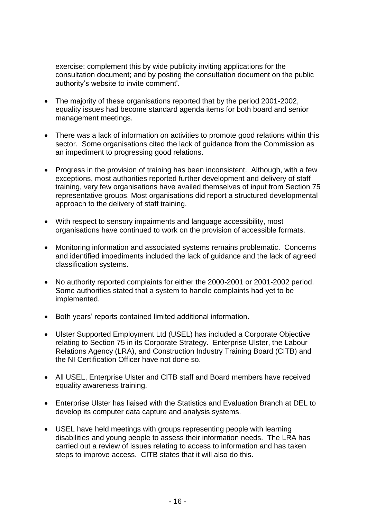exercise; complement this by wide publicity inviting applications for the consultation document; and by posting the consultation document on the public authority's website to invite comment'.

- The majority of these organisations reported that by the period 2001-2002, equality issues had become standard agenda items for both board and senior management meetings.
- There was a lack of information on activities to promote good relations within this sector. Some organisations cited the lack of guidance from the Commission as an impediment to progressing good relations.
- Progress in the provision of training has been inconsistent. Although, with a few exceptions, most authorities reported further development and delivery of staff training, very few organisations have availed themselves of input from Section 75 representative groups. Most organisations did report a structured developmental approach to the delivery of staff training.
- With respect to sensory impairments and language accessibility, most organisations have continued to work on the provision of accessible formats.
- Monitoring information and associated systems remains problematic. Concerns and identified impediments included the lack of guidance and the lack of agreed classification systems.
- No authority reported complaints for either the 2000-2001 or 2001-2002 period. Some authorities stated that a system to handle complaints had yet to be implemented.
- Both years' reports contained limited additional information.
- Ulster Supported Employment Ltd (USEL) has included a Corporate Objective relating to Section 75 in its Corporate Strategy. Enterprise Ulster, the Labour Relations Agency (LRA), and Construction Industry Training Board (CITB) and the NI Certification Officer have not done so.
- All USEL, Enterprise Ulster and CITB staff and Board members have received equality awareness training.
- Enterprise Ulster has liaised with the Statistics and Evaluation Branch at DEL to develop its computer data capture and analysis systems.
- USEL have held meetings with groups representing people with learning disabilities and young people to assess their information needs. The LRA has carried out a review of issues relating to access to information and has taken steps to improve access. CITB states that it will also do this.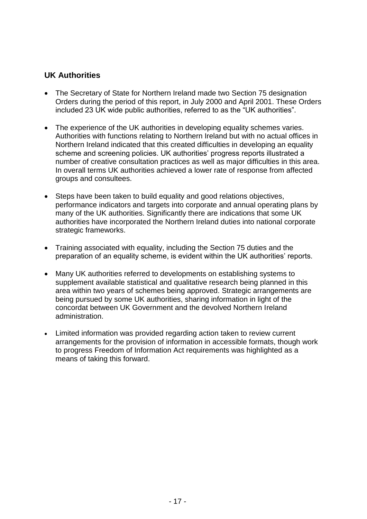#### **UK Authorities**

- The Secretary of State for Northern Ireland made two Section 75 designation Orders during the period of this report, in July 2000 and April 2001. These Orders included 23 UK wide public authorities, referred to as the "UK authorities".
- The experience of the UK authorities in developing equality schemes varies. Authorities with functions relating to Northern Ireland but with no actual offices in Northern Ireland indicated that this created difficulties in developing an equality scheme and screening policies. UK authorities' progress reports illustrated a number of creative consultation practices as well as major difficulties in this area. In overall terms UK authorities achieved a lower rate of response from affected groups and consultees.
- Steps have been taken to build equality and good relations objectives, performance indicators and targets into corporate and annual operating plans by many of the UK authorities. Significantly there are indications that some UK authorities have incorporated the Northern Ireland duties into national corporate strategic frameworks.
- Training associated with equality, including the Section 75 duties and the preparation of an equality scheme, is evident within the UK authorities' reports.
- Many UK authorities referred to developments on establishing systems to supplement available statistical and qualitative research being planned in this area within two years of schemes being approved. Strategic arrangements are being pursued by some UK authorities, sharing information in light of the concordat between UK Government and the devolved Northern Ireland administration.
- Limited information was provided regarding action taken to review current arrangements for the provision of information in accessible formats, though work to progress Freedom of Information Act requirements was highlighted as a means of taking this forward.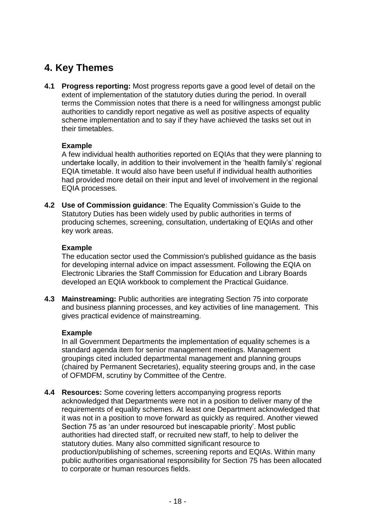## **4. Key Themes**

**4.1 Progress reporting:** Most progress reports gave a good level of detail on the extent of implementation of the statutory duties during the period. In overall terms the Commission notes that there is a need for willingness amongst public authorities to candidly report negative as well as positive aspects of equality scheme implementation and to say if they have achieved the tasks set out in their timetables.

#### **Example**

A few individual health authorities reported on EQIAs that they were planning to undertake locally, in addition to their involvement in the 'health family's' regional EQIA timetable. It would also have been useful if individual health authorities had provided more detail on their input and level of involvement in the regional EQIA processes.

**4.2 Use of Commission guidance**: The Equality Commission's Guide to the Statutory Duties has been widely used by public authorities in terms of producing schemes, screening, consultation, undertaking of EQIAs and other key work areas.

#### **Example**

The education sector used the Commission's published guidance as the basis for developing internal advice on impact assessment. Following the EQIA on Electronic Libraries the Staff Commission for Education and Library Boards developed an EQIA workbook to complement the Practical Guidance.

**4.3 Mainstreaming:** Public authorities are integrating Section 75 into corporate and business planning processes, and key activities of line management. This gives practical evidence of mainstreaming.

#### **Example**

In all Government Departments the implementation of equality schemes is a standard agenda item for senior management meetings. Management groupings cited included departmental management and planning groups (chaired by Permanent Secretaries), equality steering groups and, in the case of OFMDFM, scrutiny by Committee of the Centre.

**4.4 Resources:** Some covering letters accompanying progress reports acknowledged that Departments were not in a position to deliver many of the requirements of equality schemes. At least one Department acknowledged that it was not in a position to move forward as quickly as required. Another viewed Section 75 as 'an under resourced but inescapable priority'. Most public authorities had directed staff, or recruited new staff, to help to deliver the statutory duties. Many also committed significant resource to production/publishing of schemes, screening reports and EQIAs. Within many public authorities organisational responsibility for Section 75 has been allocated to corporate or human resources fields.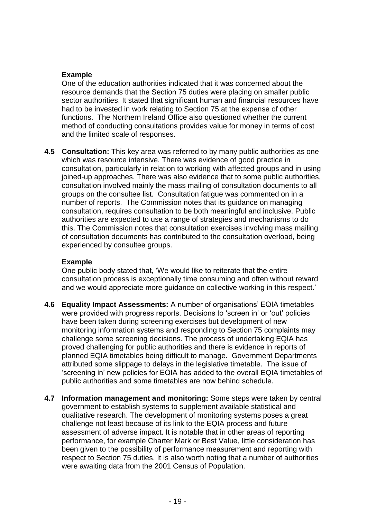#### **Example**

One of the education authorities indicated that it was concerned about the resource demands that the Section 75 duties were placing on smaller public sector authorities. It stated that significant human and financial resources have had to be invested in work relating to Section 75 at the expense of other functions. The Northern Ireland Office also questioned whether the current method of conducting consultations provides value for money in terms of cost and the limited scale of responses.

**4.5 Consultation:** This key area was referred to by many public authorities as one which was resource intensive. There was evidence of good practice in consultation, particularly in relation to working with affected groups and in using joined-up approaches. There was also evidence that to some public authorities, consultation involved mainly the mass mailing of consultation documents to all groups on the consultee list. Consultation fatigue was commented on in a number of reports. The Commission notes that its guidance on managing consultation, requires consultation to be both meaningful and inclusive. Public authorities are expected to use a range of strategies and mechanisms to do this. The Commission notes that consultation exercises involving mass mailing of consultation documents has contributed to the consultation overload, being experienced by consultee groups.

#### **Example**

One public body stated that, 'We would like to reiterate that the entire consultation process is exceptionally time consuming and often without reward and we would appreciate more guidance on collective working in this respect.'

- **4.6 Equality Impact Assessments:** A number of organisations' EQIA timetables were provided with progress reports. Decisions to 'screen in' or 'out' policies have been taken during screening exercises but development of new monitoring information systems and responding to Section 75 complaints may challenge some screening decisions. The process of undertaking EQIA has proved challenging for public authorities and there is evidence in reports of planned EQIA timetables being difficult to manage. Government Departments attributed some slippage to delays in the legislative timetable. The issue of 'screening in' new policies for EQIA has added to the overall EQIA timetables of public authorities and some timetables are now behind schedule.
- **4.7 Information management and monitoring:** Some steps were taken by central government to establish systems to supplement available statistical and qualitative research. The development of monitoring systems poses a great challenge not least because of its link to the EQIA process and future assessment of adverse impact. It is notable that in other areas of reporting performance, for example Charter Mark or Best Value, little consideration has been given to the possibility of performance measurement and reporting with respect to Section 75 duties. It is also worth noting that a number of authorities were awaiting data from the 2001 Census of Population.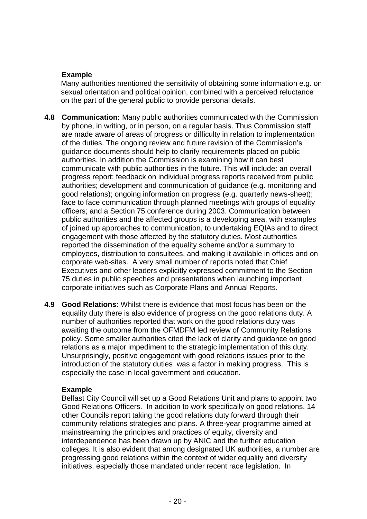#### **Example**

Many authorities mentioned the sensitivity of obtaining some information e.g. on sexual orientation and political opinion, combined with a perceived reluctance on the part of the general public to provide personal details.

- **4.8 Communication:** Many public authorities communicated with the Commission by phone, in writing, or in person, on a regular basis. Thus Commission staff are made aware of areas of progress or difficulty in relation to implementation of the duties. The ongoing review and future revision of the Commission's guidance documents should help to clarify requirements placed on public authorities. In addition the Commission is examining how it can best communicate with public authorities in the future. This will include: an overall progress report; feedback on individual progress reports received from public authorities; development and communication of guidance (e.g. monitoring and good relations); ongoing information on progress (e.g. quarterly news-sheet); face to face communication through planned meetings with groups of equality officers; and a Section 75 conference during 2003. Communication between public authorities and the affected groups is a developing area, with examples of joined up approaches to communication, to undertaking EQIAs and to direct engagement with those affected by the statutory duties. Most authorities reported the dissemination of the equality scheme and/or a summary to employees, distribution to consultees, and making it available in offices and on corporate web-sites. A very small number of reports noted that Chief Executives and other leaders explicitly expressed commitment to the Section 75 duties in public speeches and presentations when launching important corporate initiatives such as Corporate Plans and Annual Reports.
- **4.9 Good Relations:** Whilst there is evidence that most focus has been on the equality duty there is also evidence of progress on the good relations duty. A number of authorities reported that work on the good relations duty was awaiting the outcome from the OFMDFM led review of Community Relations policy. Some smaller authorities cited the lack of clarity and guidance on good relations as a major impediment to the strategic implementation of this duty. Unsurprisingly, positive engagement with good relations issues prior to the introduction of the statutory duties was a factor in making progress. This is especially the case in local government and education.

#### **Example**

Belfast City Council will set up a Good Relations Unit and plans to appoint two Good Relations Officers. In addition to work specifically on good relations, 14 other Councils report taking the good relations duty forward through their community relations strategies and plans. A three-year programme aimed at mainstreaming the principles and practices of equity, diversity and interdependence has been drawn up by ANIC and the further education colleges. It is also evident that among designated UK authorities, a number are progressing good relations within the context of wider equality and diversity initiatives, especially those mandated under recent race legislation. In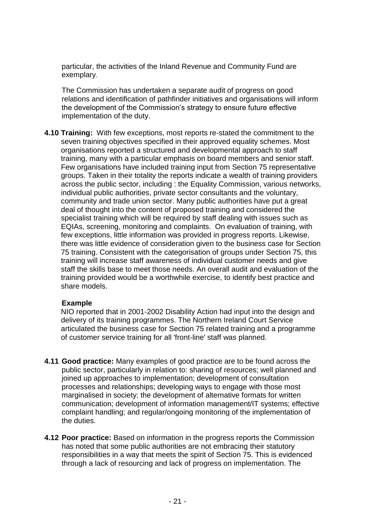particular, the activities of the Inland Revenue and Community Fund are exemplary.

The Commission has undertaken a separate audit of progress on good relations and identification of pathfinder initiatives and organisations will inform the development of the Commission's strategy to ensure future effective implementation of the duty.

**4.10 Training:** With few exceptions, most reports re-stated the commitment to the seven training objectives specified in their approved equality schemes. Most organisations reported a structured and developmental approach to staff training, many with a particular emphasis on board members and senior staff. Few organisations have included training input from Section 75 representative groups. Taken in their totality the reports indicate a wealth of training providers across the public sector, including : the Equality Commission, various networks, individual public authorities, private sector consultants and the voluntary, community and trade union sector. Many public authorities have put a great deal of thought into the content of proposed training and considered the specialist training which will be required by staff dealing with issues such as EQIAs, screening, monitoring and complaints. On evaluation of training, with few exceptions, little information was provided in progress reports. Likewise, there was little evidence of consideration given to the business case for Section 75 training. Consistent with the categorisation of groups under Section 75, this training will increase staff awareness of individual customer needs and give staff the skills base to meet those needs. An overall audit and evaluation of the training provided would be a worthwhile exercise, to identify best practice and share models.

#### **Example**

NIO reported that in 2001-2002 Disability Action had input into the design and delivery of its training programmes. The Northern Ireland Court Service articulated the business case for Section 75 related training and a programme of customer service training for all 'front-line' staff was planned.

- **4.11 Good practice:** Many examples of good practice are to be found across the public sector, particularly in relation to: sharing of resources; well planned and joined up approaches to implementation; development of consultation processes and relationships; developing ways to engage with those most marginalised in society; the development of alternative formats for written communication; development of information management/IT systems; effective complaint handling; and regular/ongoing monitoring of the implementation of the duties.
- **4.12 Poor practice:** Based on information in the progress reports the Commission has noted that some public authorities are not embracing their statutory responsibilities in a way that meets the spirit of Section 75. This is evidenced through a lack of resourcing and lack of progress on implementation. The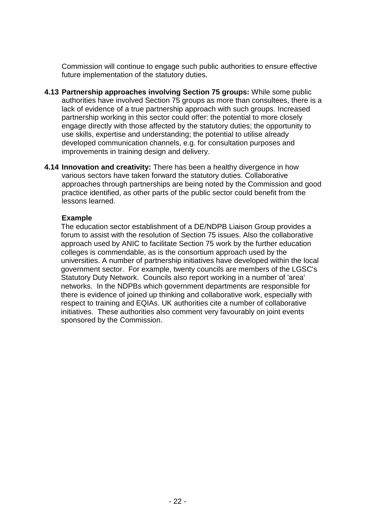Commission will continue to engage such public authorities to ensure effective future implementation of the statutory duties.

- **4.13 Partnership approaches involving Section 75 groups:** While some public authorities have involved Section 75 groups as more than consultees, there is a lack of evidence of a true partnership approach with such groups. Increased partnership working in this sector could offer: the potential to more closely engage directly with those affected by the statutory duties; the opportunity to use skills, expertise and understanding; the potential to utilise already developed communication channels, e.g. for consultation purposes and improvements in training design and delivery.
- **4.14 Innovation and creativity:** There has been a healthy divergence in how various sectors have taken forward the statutory duties. Collaborative approaches through partnerships are being noted by the Commission and good practice identified, as other parts of the public sector could benefit from the lessons learned.

#### **Example**

The education sector establishment of a DE/NDPB Liaison Group provides a forum to assist with the resolution of Section 75 issues. Also the collaborative approach used by ANIC to facilitate Section 75 work by the further education colleges is commendable, as is the consortium approach used by the universities. A number of partnership initiatives have developed within the local government sector. For example, twenty councils are members of the LGSC's Statutory Duty Network. Councils also report working in a number of 'area' networks. In the NDPBs which government departments are responsible for there is evidence of joined up thinking and collaborative work, especially with respect to training and EQIAs. UK authorities cite a number of collaborative initiatives. These authorities also comment very favourably on joint events sponsored by the Commission.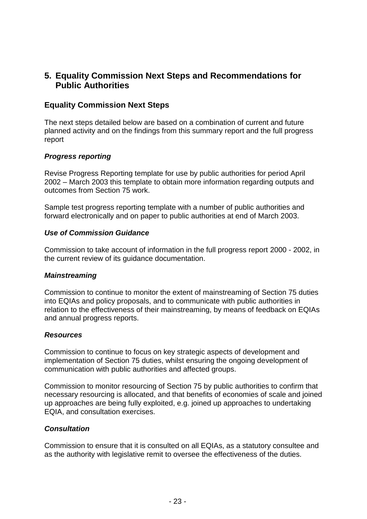#### **5. Equality Commission Next Steps and Recommendations for Public Authorities**

#### **Equality Commission Next Steps**

The next steps detailed below are based on a combination of current and future planned activity and on the findings from this summary report and the full progress report

#### *Progress reporting*

Revise Progress Reporting template for use by public authorities for period April 2002 – March 2003 this template to obtain more information regarding outputs and outcomes from Section 75 work.

Sample test progress reporting template with a number of public authorities and forward electronically and on paper to public authorities at end of March 2003.

#### *Use of Commission Guidance*

Commission to take account of information in the full progress report 2000 - 2002, in the current review of its guidance documentation.

#### *Mainstreaming*

Commission to continue to monitor the extent of mainstreaming of Section 75 duties into EQIAs and policy proposals, and to communicate with public authorities in relation to the effectiveness of their mainstreaming, by means of feedback on EQIAs and annual progress reports.

#### *Resources*

Commission to continue to focus on key strategic aspects of development and implementation of Section 75 duties, whilst ensuring the ongoing development of communication with public authorities and affected groups.

Commission to monitor resourcing of Section 75 by public authorities to confirm that necessary resourcing is allocated, and that benefits of economies of scale and joined up approaches are being fully exploited, e.g. joined up approaches to undertaking EQIA, and consultation exercises.

#### *Consultation*

Commission to ensure that it is consulted on all EQIAs, as a statutory consultee and as the authority with legislative remit to oversee the effectiveness of the duties.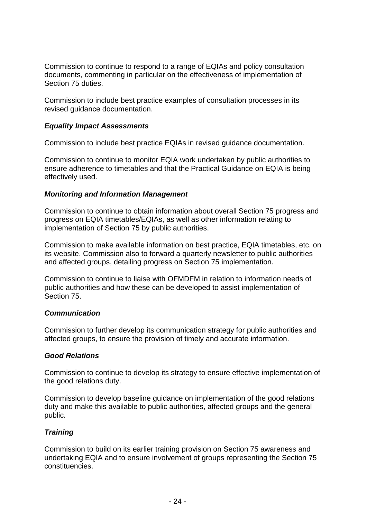Commission to continue to respond to a range of EQIAs and policy consultation documents, commenting in particular on the effectiveness of implementation of Section 75 duties.

Commission to include best practice examples of consultation processes in its revised guidance documentation.

#### *Equality Impact Assessments*

Commission to include best practice EQIAs in revised guidance documentation.

Commission to continue to monitor EQIA work undertaken by public authorities to ensure adherence to timetables and that the Practical Guidance on EQIA is being effectively used.

#### *Monitoring and Information Management*

Commission to continue to obtain information about overall Section 75 progress and progress on EQIA timetables/EQIAs, as well as other information relating to implementation of Section 75 by public authorities.

Commission to make available information on best practice, EQIA timetables, etc. on its website. Commission also to forward a quarterly newsletter to public authorities and affected groups, detailing progress on Section 75 implementation.

Commission to continue to liaise with OFMDFM in relation to information needs of public authorities and how these can be developed to assist implementation of Section 75.

#### *Communication*

Commission to further develop its communication strategy for public authorities and affected groups, to ensure the provision of timely and accurate information.

#### *Good Relations*

Commission to continue to develop its strategy to ensure effective implementation of the good relations duty.

Commission to develop baseline guidance on implementation of the good relations duty and make this available to public authorities, affected groups and the general public.

#### *Training*

Commission to build on its earlier training provision on Section 75 awareness and undertaking EQIA and to ensure involvement of groups representing the Section 75 constituencies.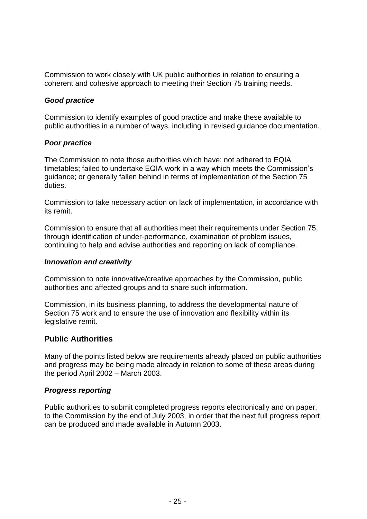Commission to work closely with UK public authorities in relation to ensuring a coherent and cohesive approach to meeting their Section 75 training needs.

#### *Good practice*

Commission to identify examples of good practice and make these available to public authorities in a number of ways, including in revised guidance documentation.

#### *Poor practice*

The Commission to note those authorities which have: not adhered to EQIA timetables; failed to undertake EQIA work in a way which meets the Commission's guidance; or generally fallen behind in terms of implementation of the Section 75 duties.

Commission to take necessary action on lack of implementation, in accordance with its remit.

Commission to ensure that all authorities meet their requirements under Section 75, through identification of under-performance, examination of problem issues, continuing to help and advise authorities and reporting on lack of compliance.

#### *Innovation and creativity*

Commission to note innovative/creative approaches by the Commission, public authorities and affected groups and to share such information.

Commission, in its business planning, to address the developmental nature of Section 75 work and to ensure the use of innovation and flexibility within its legislative remit.

#### **Public Authorities**

Many of the points listed below are requirements already placed on public authorities and progress may be being made already in relation to some of these areas during the period April 2002 – March 2003.

#### *Progress reporting*

Public authorities to submit completed progress reports electronically and on paper, to the Commission by the end of July 2003, in order that the next full progress report can be produced and made available in Autumn 2003.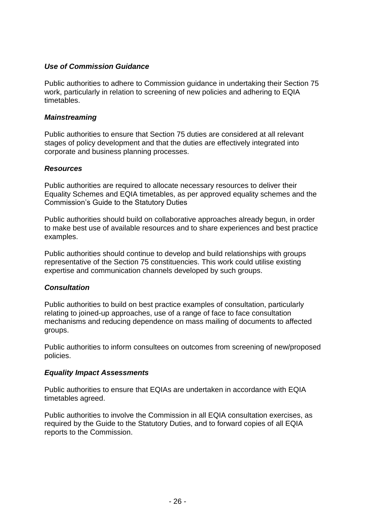#### *Use of Commission Guidance*

Public authorities to adhere to Commission guidance in undertaking their Section 75 work, particularly in relation to screening of new policies and adhering to EQIA timetables.

#### *Mainstreaming*

Public authorities to ensure that Section 75 duties are considered at all relevant stages of policy development and that the duties are effectively integrated into corporate and business planning processes.

#### *Resources*

Public authorities are required to allocate necessary resources to deliver their Equality Schemes and EQIA timetables, as per approved equality schemes and the Commission's Guide to the Statutory Duties

Public authorities should build on collaborative approaches already begun, in order to make best use of available resources and to share experiences and best practice examples.

Public authorities should continue to develop and build relationships with groups representative of the Section 75 constituencies. This work could utilise existing expertise and communication channels developed by such groups.

#### *Consultation*

Public authorities to build on best practice examples of consultation, particularly relating to joined-up approaches, use of a range of face to face consultation mechanisms and reducing dependence on mass mailing of documents to affected groups.

Public authorities to inform consultees on outcomes from screening of new/proposed policies.

#### *Equality Impact Assessments*

Public authorities to ensure that EQIAs are undertaken in accordance with EQIA timetables agreed.

Public authorities to involve the Commission in all EQIA consultation exercises, as required by the Guide to the Statutory Duties, and to forward copies of all EQIA reports to the Commission.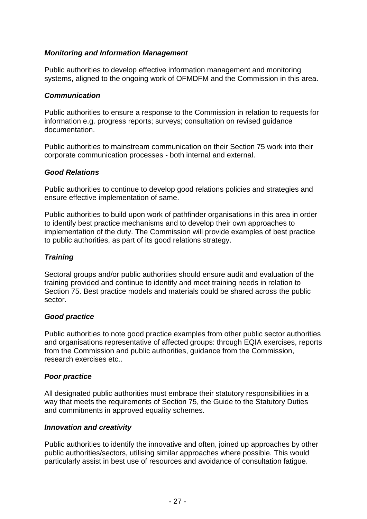#### *Monitoring and Information Management*

Public authorities to develop effective information management and monitoring systems, aligned to the ongoing work of OFMDFM and the Commission in this area.

#### *Communication*

Public authorities to ensure a response to the Commission in relation to requests for information e.g. progress reports; surveys; consultation on revised guidance documentation.

Public authorities to mainstream communication on their Section 75 work into their corporate communication processes - both internal and external.

#### *Good Relations*

Public authorities to continue to develop good relations policies and strategies and ensure effective implementation of same.

Public authorities to build upon work of pathfinder organisations in this area in order to identify best practice mechanisms and to develop their own approaches to implementation of the duty. The Commission will provide examples of best practice to public authorities, as part of its good relations strategy.

#### *Training*

Sectoral groups and/or public authorities should ensure audit and evaluation of the training provided and continue to identify and meet training needs in relation to Section 75. Best practice models and materials could be shared across the public sector.

#### *Good practice*

Public authorities to note good practice examples from other public sector authorities and organisations representative of affected groups: through EQIA exercises, reports from the Commission and public authorities, guidance from the Commission, research exercises etc..

#### *Poor practice*

All designated public authorities must embrace their statutory responsibilities in a way that meets the requirements of Section 75, the Guide to the Statutory Duties and commitments in approved equality schemes.

#### *Innovation and creativity*

Public authorities to identify the innovative and often, joined up approaches by other public authorities/sectors, utilising similar approaches where possible. This would particularly assist in best use of resources and avoidance of consultation fatigue.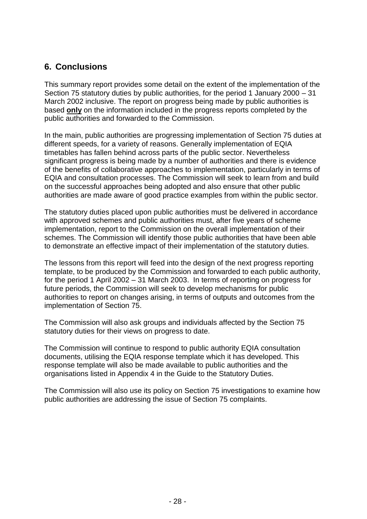#### **6. Conclusions**

This summary report provides some detail on the extent of the implementation of the Section 75 statutory duties by public authorities, for the period 1 January 2000 – 31 March 2002 inclusive. The report on progress being made by public authorities is based **only** on the information included in the progress reports completed by the public authorities and forwarded to the Commission.

In the main, public authorities are progressing implementation of Section 75 duties at different speeds, for a variety of reasons. Generally implementation of EQIA timetables has fallen behind across parts of the public sector. Nevertheless significant progress is being made by a number of authorities and there is evidence of the benefits of collaborative approaches to implementation, particularly in terms of EQIA and consultation processes. The Commission will seek to learn from and build on the successful approaches being adopted and also ensure that other public authorities are made aware of good practice examples from within the public sector.

The statutory duties placed upon public authorities must be delivered in accordance with approved schemes and public authorities must, after five years of scheme implementation, report to the Commission on the overall implementation of their schemes. The Commission will identify those public authorities that have been able to demonstrate an effective impact of their implementation of the statutory duties.

The lessons from this report will feed into the design of the next progress reporting template, to be produced by the Commission and forwarded to each public authority, for the period 1 April 2002 – 31 March 2003. In terms of reporting on progress for future periods, the Commission will seek to develop mechanisms for public authorities to report on changes arising, in terms of outputs and outcomes from the implementation of Section 75.

The Commission will also ask groups and individuals affected by the Section 75 statutory duties for their views on progress to date.

The Commission will continue to respond to public authority EQIA consultation documents, utilising the EQIA response template which it has developed. This response template will also be made available to public authorities and the organisations listed in Appendix 4 in the Guide to the Statutory Duties.

The Commission will also use its policy on Section 75 investigations to examine how public authorities are addressing the issue of Section 75 complaints.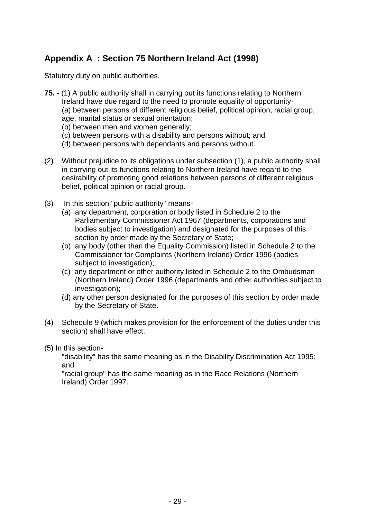## **Appendix A : Section 75 Northern Ireland Act (1998)**

Statutory duty on public authorities.

- **75.** (1) A public authority shall in carrying out its functions relating to Northern Ireland have due regard to the need to promote equality of opportunity- (a) between persons of different religious belief, political opinion, racial group, age, marital status or sexual orientation;
	- (b) between men and women generally;
	- (c) between persons with a disability and persons without; and
	- (d) between persons with dependants and persons without.
- (2) Without prejudice to its obligations under subsection (1), a public authority shall in carrying out its functions relating to Northern Ireland have regard to the desirability of promoting good relations between persons of different religious belief, political opinion or racial group.
- (3) In this section "public authority" means-
	- (a) any department, corporation or body listed in Schedule 2 to the Parliamentary Commissioner Act 1967 (departments, corporations and bodies subject to investigation) and designated for the purposes of this section by order made by the Secretary of State;
	- (b) any body (other than the Equality Commission) listed in Schedule 2 to the Commissioner for Complaints (Northern Ireland) Order 1996 (bodies subject to investigation);
	- (c) any department or other authority listed in Schedule 2 to the Ombudsman (Northern Ireland) Order 1996 (departments and other authorities subject to investigation):
	- (d) any other person designated for the purposes of this section by order made by the Secretary of State.
- (4) Schedule 9 (which makes provision for the enforcement of the duties under this section) shall have effect.
- (5) In this section-

"disability" has the same meaning as in the Disability Discrimination Act 1995; and

"racial group" has the same meaning as in the Race Relations (Northern Ireland) Order 1997.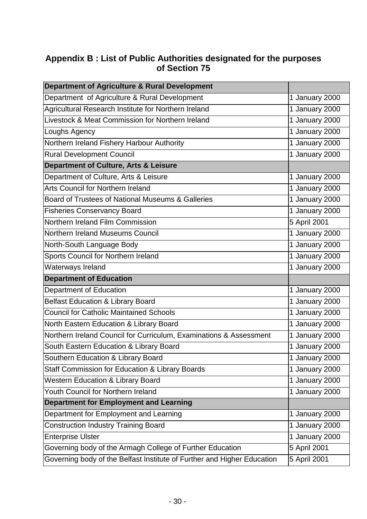### **Appendix B : List of Public Authorities designated for the purposes of Section 75**

| <b>Department of Agriculture &amp; Rural Development</b>                |                |
|-------------------------------------------------------------------------|----------------|
| Department of Agriculture & Rural Development                           | 1 January 2000 |
| Agricultural Research Institute for Northern Ireland                    | 1 January 2000 |
| Livestock & Meat Commission for Northern Ireland                        | 1 January 2000 |
| Loughs Agency                                                           | 1 January 2000 |
| Northern Ireland Fishery Harbour Authority                              | 1 January 2000 |
| <b>Rural Development Council</b>                                        | 1 January 2000 |
| Department of Culture, Arts & Leisure                                   |                |
| Department of Culture, Arts & Leisure                                   | 1 January 2000 |
| Arts Council for Northern Ireland                                       | 1 January 2000 |
| Board of Trustees of National Museums & Galleries                       | 1 January 2000 |
| <b>Fisheries Conservancy Board</b>                                      | 1 January 2000 |
| Northern Ireland Film Commission                                        | 5 April 2001   |
| Northern Ireland Museums Council                                        | 1 January 2000 |
| North-South Language Body                                               | 1 January 2000 |
| Sports Council for Northern Ireland                                     | 1 January 2000 |
| Waterways Ireland                                                       | 1 January 2000 |
| <b>Department of Education</b>                                          |                |
| <b>Department of Education</b>                                          | 1 January 2000 |
| <b>Belfast Education &amp; Library Board</b>                            | 1 January 2000 |
| <b>Council for Catholic Maintained Schools</b>                          | 1 January 2000 |
| North Eastern Education & Library Board                                 | 1 January 2000 |
| Northern Ireland Council for Curriculum, Examinations & Assessment      | 1 January 2000 |
| South Eastern Education & Library Board                                 | 1 January 2000 |
| Southern Education & Library Board                                      | 1 January 2000 |
| Staff Commission for Education & Library Boards                         | 1 January 2000 |
| <b>Western Education &amp; Library Board</b>                            | 1 January 2000 |
| <b>Youth Council for Northern Ireland</b>                               | 1 January 2000 |
| <b>Department for Employment and Learning</b>                           |                |
| Department for Employment and Learning                                  | 1 January 2000 |
| <b>Construction Industry Training Board</b>                             | 1 January 2000 |
| <b>Enterprise Ulster</b>                                                | 1 January 2000 |
| Governing body of the Armagh College of Further Education               | 5 April 2001   |
| Governing body of the Belfast Institute of Further and Higher Education | 5 April 2001   |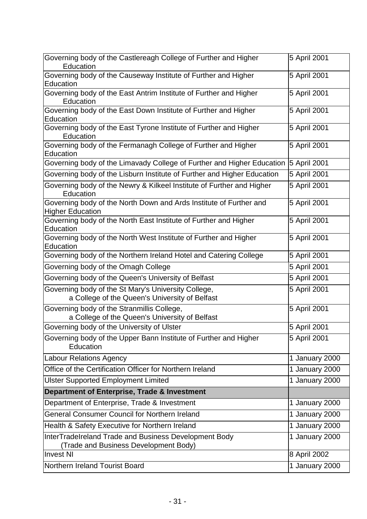| Governing body of the Castlereagh College of Further and Higher<br>Education                          | 5 April 2001   |
|-------------------------------------------------------------------------------------------------------|----------------|
| Governing body of the Causeway Institute of Further and Higher<br>Education                           | 5 April 2001   |
| Governing body of the East Antrim Institute of Further and Higher<br>Education                        | 5 April 2001   |
| Governing body of the East Down Institute of Further and Higher<br>Education                          | 5 April 2001   |
| Governing body of the East Tyrone Institute of Further and Higher<br>Education                        | 5 April 2001   |
| Governing body of the Fermanagh College of Further and Higher<br>Education                            | 5 April 2001   |
| Governing body of the Limavady College of Further and Higher Education                                | 5 April 2001   |
| Governing body of the Lisburn Institute of Further and Higher Education                               | 5 April 2001   |
| Governing body of the Newry & Kilkeel Institute of Further and Higher<br>Education                    | 5 April 2001   |
| Governing body of the North Down and Ards Institute of Further and<br><b>Higher Education</b>         | 5 April 2001   |
| Governing body of the North East Institute of Further and Higher<br>Education                         | 5 April 2001   |
| Governing body of the North West Institute of Further and Higher<br>Education                         | 5 April 2001   |
| Governing body of the Northern Ireland Hotel and Catering College                                     | 5 April 2001   |
| Governing body of the Omagh College                                                                   | 5 April 2001   |
| Governing body of the Queen's University of Belfast                                                   | 5 April 2001   |
| Governing body of the St Mary's University College,<br>a College of the Queen's University of Belfast | 5 April 2001   |
| Governing body of the Stranmillis College,<br>a College of the Queen's University of Belfast          | 5 April 2001   |
| Governing body of the University of Ulster                                                            | 5 April 2001   |
| Governing body of the Upper Bann Institute of Further and Higher<br>Education                         | 5 April 2001   |
| <b>Labour Relations Agency</b>                                                                        | 1 January 2000 |
| Office of the Certification Officer for Northern Ireland                                              | 1 January 2000 |
| <b>Ulster Supported Employment Limited</b>                                                            | 1 January 2000 |
| Department of Enterprise, Trade & Investment                                                          |                |
| Department of Enterprise, Trade & Investment                                                          | 1 January 2000 |
| <b>General Consumer Council for Northern Ireland</b>                                                  | 1 January 2000 |
| Health & Safety Executive for Northern Ireland                                                        | 1 January 2000 |
| InterTradeIreland Trade and Business Development Body<br>(Trade and Business Development Body)        | 1 January 2000 |
| <b>Invest NI</b>                                                                                      | 8 April 2002   |
| Northern Ireland Tourist Board                                                                        | 1 January 2000 |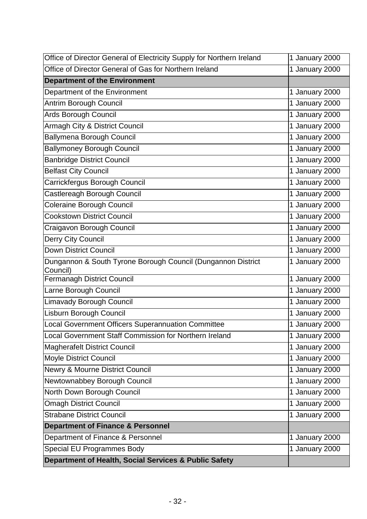| Office of Director General of Electricity Supply for Northern Ireland    | 1 January 2000 |
|--------------------------------------------------------------------------|----------------|
| Office of Director General of Gas for Northern Ireland                   | 1 January 2000 |
| <b>Department of the Environment</b>                                     |                |
| Department of the Environment                                            | 1 January 2000 |
| Antrim Borough Council                                                   | 1 January 2000 |
| Ards Borough Council                                                     | 1 January 2000 |
| Armagh City & District Council                                           | 1 January 2000 |
| <b>Ballymena Borough Council</b>                                         | 1 January 2000 |
| <b>Ballymoney Borough Council</b>                                        | 1 January 2000 |
| <b>Banbridge District Council</b>                                        | 1 January 2000 |
| <b>Belfast City Council</b>                                              | 1 January 2000 |
| Carrickfergus Borough Council                                            | 1 January 2000 |
| Castlereagh Borough Council                                              | 1 January 2000 |
| <b>Coleraine Borough Council</b>                                         | 1 January 2000 |
| <b>Cookstown District Council</b>                                        | 1 January 2000 |
| Craigavon Borough Council                                                | 1 January 2000 |
| Derry City Council                                                       | 1 January 2000 |
| <b>Down District Council</b>                                             | 1 January 2000 |
| Dungannon & South Tyrone Borough Council (Dungannon District<br>Council) | 1 January 2000 |
| <b>Fermanagh District Council</b>                                        | 1 January 2000 |
| Larne Borough Council                                                    | 1 January 2000 |
| <b>Limavady Borough Council</b>                                          | 1 January 2000 |
| Lisburn Borough Council                                                  | 1 January 2000 |
| Local Government Officers Superannuation Committee                       | 1 January 2000 |
| Local Government Staff Commission for Northern Ireland                   | 1 January 2000 |
| <b>Magherafelt District Council</b>                                      | 1 January 2000 |
| Moyle District Council                                                   | 1 January 2000 |
| Newry & Mourne District Council                                          | 1 January 2000 |
| Newtownabbey Borough Council                                             | 1 January 2000 |
| North Down Borough Council                                               | 1 January 2000 |
| <b>Omagh District Council</b>                                            | 1 January 2000 |
| <b>Strabane District Council</b>                                         | 1 January 2000 |
| <b>Department of Finance &amp; Personnel</b>                             |                |
| Department of Finance & Personnel                                        | 1 January 2000 |
| <b>Special EU Programmes Body</b>                                        | 1 January 2000 |
| Department of Health, Social Services & Public Safety                    |                |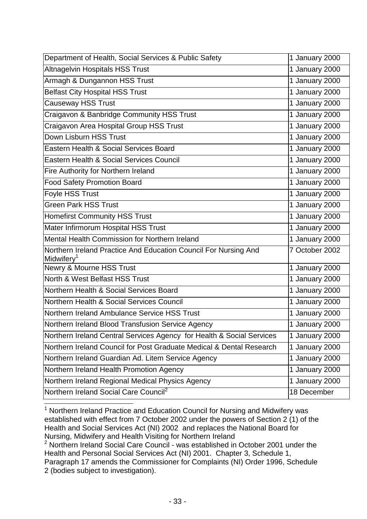| Department of Health, Social Services & Public Safety                                     | 1 January 2000 |
|-------------------------------------------------------------------------------------------|----------------|
| <b>Altnagelvin Hospitals HSS Trust</b>                                                    | 1 January 2000 |
| Armagh & Dungannon HSS Trust                                                              | 1 January 2000 |
| <b>Belfast City Hospital HSS Trust</b>                                                    | 1 January 2000 |
| Causeway HSS Trust                                                                        | 1 January 2000 |
| Craigavon & Banbridge Community HSS Trust                                                 | 1 January 2000 |
| Craigavon Area Hospital Group HSS Trust                                                   | 1 January 2000 |
| Down Lisburn HSS Trust                                                                    | 1 January 2000 |
| Eastern Health & Social Services Board                                                    | 1 January 2000 |
| Eastern Health & Social Services Council                                                  | 1 January 2000 |
| Fire Authority for Northern Ireland                                                       | 1 January 2000 |
| <b>Food Safety Promotion Board</b>                                                        | 1 January 2000 |
| Foyle HSS Trust                                                                           | 1 January 2000 |
| <b>Green Park HSS Trust</b>                                                               | 1 January 2000 |
| <b>Homefirst Community HSS Trust</b>                                                      | 1 January 2000 |
| Mater Infirmorum Hospital HSS Trust                                                       | 1 January 2000 |
| Mental Health Commission for Northern Ireland                                             | 1 January 2000 |
| Northern Ireland Practice And Education Council For Nursing And<br>Midwifery <sup>1</sup> | 7 October 2002 |
| Newry & Mourne HSS Trust                                                                  | 1 January 2000 |
| North & West Belfast HSS Trust                                                            | 1 January 2000 |
| Northern Health & Social Services Board                                                   | 1 January 2000 |
| Northern Health & Social Services Council                                                 | 1 January 2000 |
| Northern Ireland Ambulance Service HSS Trust                                              | 1 January 2000 |
| Northern Ireland Blood Transfusion Service Agency                                         | 1 January 2000 |
| Northern Ireland Central Services Agency for Health & Social Services                     | 1 January 2000 |
| Northern Ireland Council for Post Graduate Medical & Dental Research                      | 1 January 2000 |
| Northern Ireland Guardian Ad. Litem Service Agency                                        | 1 January 2000 |
| Northern Ireland Health Promotion Agency                                                  | 1 January 2000 |
| Northern Ireland Regional Medical Physics Agency                                          | 1 January 2000 |
| Northern Ireland Social Care Council <sup>2</sup>                                         | 18 December    |

 $1$  Northern Ireland Practice and Education Council for Nursing and Midwifery was established with effect from 7 October 2002 under the powers of Section 2 (1) of the Health and Social Services Act (NI) 2002 and replaces the National Board for Nursing, Midwifery and Health Visiting for Northern Ireland

1

Paragraph 17 amends the Commissioner for Complaints (NI) Order 1996, Schedule 2 (bodies subject to investigation).

<sup>&</sup>lt;sup>2</sup> Northern Ireland Social Care Council - was established in October 2001 under the Health and Personal Social Services Act (NI) 2001. Chapter 3, Schedule 1,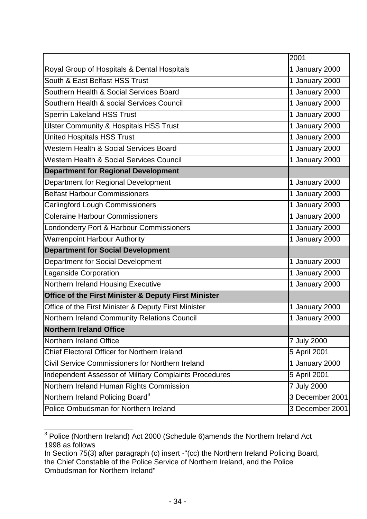|                                                        | 2001            |
|--------------------------------------------------------|-----------------|
| Royal Group of Hospitals & Dental Hospitals            | 1 January 2000  |
| South & East Belfast HSS Trust                         | 1 January 2000  |
| Southern Health & Social Services Board                | 1 January 2000  |
| Southern Health & social Services Council              | 1 January 2000  |
| <b>Sperrin Lakeland HSS Trust</b>                      | 1 January 2000  |
| <b>Ulster Community &amp; Hospitals HSS Trust</b>      | 1 January 2000  |
| <b>United Hospitals HSS Trust</b>                      | 1 January 2000  |
| Western Health & Social Services Board                 | 1 January 2000  |
| <b>Western Health &amp; Social Services Council</b>    | 1 January 2000  |
| <b>Department for Regional Development</b>             |                 |
| Department for Regional Development                    | 1 January 2000  |
| <b>Belfast Harbour Commissioners</b>                   | 1 January 2000  |
| <b>Carlingford Lough Commissioners</b>                 | 1 January 2000  |
| <b>Coleraine Harbour Commissioners</b>                 | 1 January 2000  |
| Londonderry Port & Harbour Commissioners               | 1 January 2000  |
| <b>Warrenpoint Harbour Authority</b>                   | 1 January 2000  |
| <b>Department for Social Development</b>               |                 |
| <b>Department for Social Development</b>               | 1 January 2000  |
| <b>Laganside Corporation</b>                           | 1 January 2000  |
| Northern Ireland Housing Executive                     | 1 January 2000  |
| Office of the First Minister & Deputy First Minister   |                 |
| Office of the First Minister & Deputy First Minister   | 1 January 2000  |
| Northern Ireland Community Relations Council           | 1 January 2000  |
| <b>Northern Ireland Office</b>                         |                 |
| Northern Ireland Office                                | 7 July 2000     |
| Chief Electoral Officer for Northern Ireland           | 5 April 2001    |
| Civil Service Commissioners for Northern Ireland       | 1 January 2000  |
| Independent Assessor of Military Complaints Procedures | 5 April 2001    |
| Northern Ireland Human Rights Commission               | 7 July 2000     |
| Northern Ireland Policing Board <sup>3</sup>           | 3 December 2001 |
| Police Ombudsman for Northern Ireland                  | 3 December 2001 |

 $3$  Police (Northern Ireland) Act 2000 (Schedule 6)amends the Northern Ireland Act 1998 as follows

-

In Section 75(3) after paragraph (c) insert -"(cc) the Northern Ireland Policing Board, the Chief Constable of the Police Service of Northern Ireland, and the Police Ombudsman for Northern Ireland"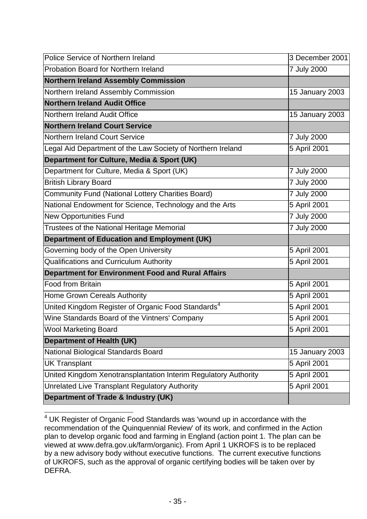| <b>Police Service of Northern Ireland</b>                       | 3 December 2001 |
|-----------------------------------------------------------------|-----------------|
| Probation Board for Northern Ireland                            | 7 July 2000     |
| <b>Northern Ireland Assembly Commission</b>                     |                 |
| Northern Ireland Assembly Commission                            | 15 January 2003 |
| <b>Northern Ireland Audit Office</b>                            |                 |
| Northern Ireland Audit Office                                   | 15 January 2003 |
| <b>Northern Ireland Court Service</b>                           |                 |
| <b>Northern Ireland Court Service</b>                           | 7 July 2000     |
| Legal Aid Department of the Law Society of Northern Ireland     | 5 April 2001    |
| Department for Culture, Media & Sport (UK)                      |                 |
| Department for Culture, Media & Sport (UK)                      | 7 July 2000     |
| <b>British Library Board</b>                                    | 7 July 2000     |
| <b>Community Fund (National Lottery Charities Board)</b>        | 7 July 2000     |
| National Endowment for Science, Technology and the Arts         | 5 April 2001    |
| <b>New Opportunities Fund</b>                                   | 7 July 2000     |
| Trustees of the National Heritage Memorial                      | 7 July 2000     |
| <b>Department of Education and Employment (UK)</b>              |                 |
| Governing body of the Open University                           | 5 April 2001    |
| <b>Qualifications and Curriculum Authority</b>                  | 5 April 2001    |
| <b>Department for Environment Food and Rural Affairs</b>        |                 |
| <b>Food from Britain</b>                                        | 5 April 2001    |
| Home Grown Cereals Authority                                    | 5 April 2001    |
| United Kingdom Register of Organic Food Standards <sup>4</sup>  | 5 April 2001    |
| Wine Standards Board of the Vintners' Company                   | 5 April 2001    |
| <b>Wool Marketing Board</b>                                     | 5 April 2001    |
| <b>Department of Health (UK)</b>                                |                 |
| National Biological Standards Board                             | 15 January 2003 |
| <b>UK Transplant</b>                                            | 5 April 2001    |
| United Kingdom Xenotransplantation Interim Regulatory Authority | 5 April 2001    |
| Unrelated Live Transplant Regulatory Authority                  | 5 April 2001    |
| Department of Trade & Industry (UK)                             |                 |

<sup>-</sup> $4$  UK Register of Organic Food Standards was 'wound up in accordance with the recommendation of the Quinquennial Review' of its work, and confirmed in the Action plan to develop organic food and farming in England (action point 1. The plan can be viewed at www.defra.gov.uk/farm/organic). From April 1 UKROFS is to be replaced by a new advisory body without executive functions. The current executive functions of UKROFS, such as the approval of organic certifying bodies will be taken over by DEFRA.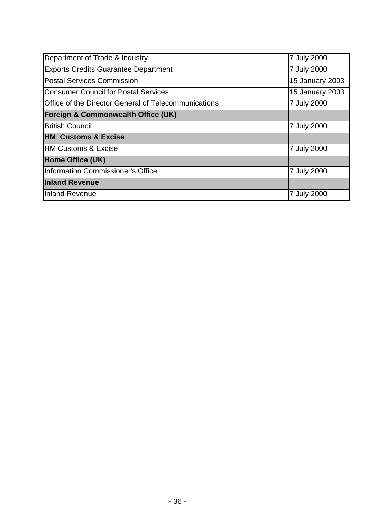| Department of Trade & Industry                       | 7 July 2000     |
|------------------------------------------------------|-----------------|
| <b>Exports Credits Guarantee Department</b>          | 7 July 2000     |
| <b>Postal Services Commission</b>                    | 15 January 2003 |
| Consumer Council for Postal Services                 | 15 January 2003 |
| Office of the Director General of Telecommunications | 7 July 2000     |
| <b>Foreign &amp; Commonwealth Office (UK)</b>        |                 |
| <b>British Council</b>                               | 7 July 2000     |
| <b>HM Customs &amp; Excise</b>                       |                 |
| <b>HM Customs &amp; Excise</b>                       | 7 July 2000     |
| Home Office (UK)                                     |                 |
| Information Commissioner's Office                    | 7 July 2000     |
| <b>Inland Revenue</b>                                |                 |
| Inland Revenue                                       | 7 July 2000     |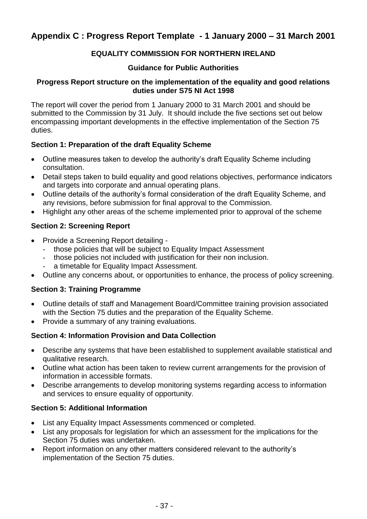#### **Appendix C : Progress Report Template - 1 January 2000 – 31 March 2001**

#### **EQUALITY COMMISSION FOR NORTHERN IRELAND**

#### **Guidance for Public Authorities**

#### **Progress Report structure on the implementation of the equality and good relations duties under S75 NI Act 1998**

The report will cover the period from 1 January 2000 to 31 March 2001 and should be submitted to the Commission by 31 July. It should include the five sections set out below encompassing important developments in the effective implementation of the Section 75 duties.

#### **Section 1: Preparation of the draft Equality Scheme**

- Outline measures taken to develop the authority's draft Equality Scheme including consultation.
- Detail steps taken to build equality and good relations objectives, performance indicators and targets into corporate and annual operating plans.
- Outline details of the authority's formal consideration of the draft Equality Scheme, and any revisions, before submission for final approval to the Commission.
- Highlight any other areas of the scheme implemented prior to approval of the scheme

#### **Section 2: Screening Report**

- Provide a Screening Report detailing
	- those policies that will be subject to Equality Impact Assessment
	- those policies not included with justification for their non inclusion.
	- a timetable for Equality Impact Assessment.
- Outline any concerns about, or opportunities to enhance, the process of policy screening.

#### **Section 3: Training Programme**

- Outline details of staff and Management Board/Committee training provision associated with the Section 75 duties and the preparation of the Equality Scheme.
- Provide a summary of any training evaluations.

#### **Section 4: Information Provision and Data Collection**

- Describe any systems that have been established to supplement available statistical and qualitative research.
- Outline what action has been taken to review current arrangements for the provision of information in accessible formats.
- Describe arrangements to develop monitoring systems regarding access to information and services to ensure equality of opportunity.

#### **Section 5: Additional Information**

- List any Equality Impact Assessments commenced or completed.
- List any proposals for legislation for which an assessment for the implications for the Section 75 duties was undertaken.
- Report information on any other matters considered relevant to the authority's implementation of the Section 75 duties.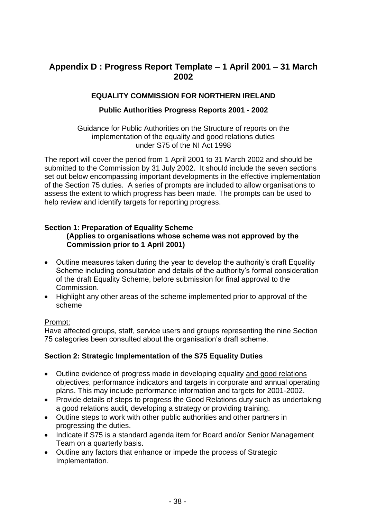#### **Appendix D : Progress Report Template – 1 April 2001 – 31 March 2002**

#### **EQUALITY COMMISSION FOR NORTHERN IRELAND**

#### **Public Authorities Progress Reports 2001 - 2002**

Guidance for Public Authorities on the Structure of reports on the implementation of the equality and good relations duties under S75 of the NI Act 1998

The report will cover the period from 1 April 2001 to 31 March 2002 and should be submitted to the Commission by 31 July 2002. It should include the seven sections set out below encompassing important developments in the effective implementation of the Section 75 duties. A series of prompts are included to allow organisations to assess the extent to which progress has been made. The prompts can be used to help review and identify targets for reporting progress.

#### **Section 1: Preparation of Equality Scheme**

**(Applies to organisations whose scheme was not approved by the Commission prior to 1 April 2001)**

- Outline measures taken during the year to develop the authority's draft Equality Scheme including consultation and details of the authority's formal consideration of the draft Equality Scheme, before submission for final approval to the Commission.
- Highlight any other areas of the scheme implemented prior to approval of the scheme

#### Prompt:

Have affected groups, staff, service users and groups representing the nine Section 75 categories been consulted about the organisation's draft scheme.

#### **Section 2: Strategic Implementation of the S75 Equality Duties**

- Outline evidence of progress made in developing equality and good relations objectives, performance indicators and targets in corporate and annual operating plans. This may include performance information and targets for 2001-2002.
- Provide details of steps to progress the Good Relations duty such as undertaking a good relations audit, developing a strategy or providing training.
- Outline steps to work with other public authorities and other partners in progressing the duties.
- Indicate if S75 is a standard agenda item for Board and/or Senior Management Team on a quarterly basis.
- Outline any factors that enhance or impede the process of Strategic Implementation.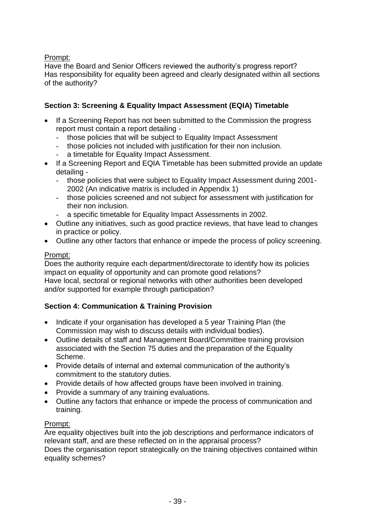#### Prompt:

Have the Board and Senior Officers reviewed the authority's progress report? Has responsibility for equality been agreed and clearly designated within all sections of the authority?

#### **Section 3: Screening & Equality Impact Assessment (EQIA) Timetable**

- If a Screening Report has not been submitted to the Commission the progress report must contain a report detailing
	- those policies that will be subject to Equality Impact Assessment
	- those policies not included with justification for their non inclusion.
	- a timetable for Equality Impact Assessment.
- If a Screening Report and EQIA Timetable has been submitted provide an update detailing -
	- those policies that were subject to Equality Impact Assessment during 2001- 2002 (An indicative matrix is included in Appendix 1)
	- those policies screened and not subject for assessment with justification for their non inclusion.
	- a specific timetable for Equality Impact Assessments in 2002.
- Outline any initiatives, such as good practice reviews, that have lead to changes in practice or policy.
- Outline any other factors that enhance or impede the process of policy screening.

#### Prompt:

Does the authority require each department/directorate to identify how its policies impact on equality of opportunity and can promote good relations? Have local, sectoral or regional networks with other authorities been developed and/or supported for example through participation?

#### **Section 4: Communication & Training Provision**

- Indicate if your organisation has developed a 5 year Training Plan (the Commission may wish to discuss details with individual bodies).
- Outline details of staff and Management Board/Committee training provision associated with the Section 75 duties and the preparation of the Equality Scheme.
- Provide details of internal and external communication of the authority's commitment to the statutory duties.
- Provide details of how affected groups have been involved in training.
- Provide a summary of any training evaluations.
- Outline any factors that enhance or impede the process of communication and training.

#### Prompt:

Are equality objectives built into the job descriptions and performance indicators of relevant staff, and are these reflected on in the appraisal process? Does the organisation report strategically on the training objectives contained within

equality schemes?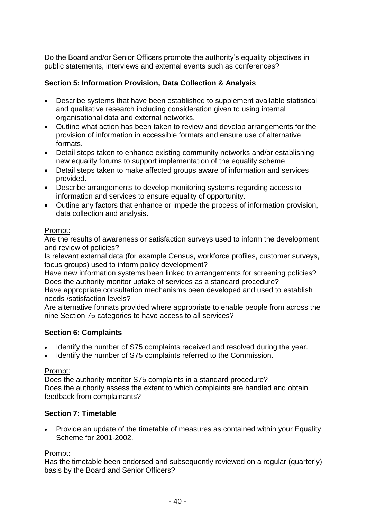Do the Board and/or Senior Officers promote the authority's equality objectives in public statements, interviews and external events such as conferences?

#### **Section 5: Information Provision, Data Collection & Analysis**

- Describe systems that have been established to supplement available statistical and qualitative research including consideration given to using internal organisational data and external networks.
- Outline what action has been taken to review and develop arrangements for the provision of information in accessible formats and ensure use of alternative formats.
- Detail steps taken to enhance existing community networks and/or establishing new equality forums to support implementation of the equality scheme
- Detail steps taken to make affected groups aware of information and services provided.
- Describe arrangements to develop monitoring systems regarding access to information and services to ensure equality of opportunity.
- Outline any factors that enhance or impede the process of information provision, data collection and analysis.

#### Prompt:

Are the results of awareness or satisfaction surveys used to inform the development and review of policies?

Is relevant external data (for example Census, workforce profiles, customer surveys, focus groups) used to inform policy development?

Have new information systems been linked to arrangements for screening policies? Does the authority monitor uptake of services as a standard procedure?

Have appropriate consultation mechanisms been developed and used to establish needs /satisfaction levels?

Are alternative formats provided where appropriate to enable people from across the nine Section 75 categories to have access to all services?

#### **Section 6: Complaints**

- Identify the number of S75 complaints received and resolved during the year.
- Identify the number of S75 complaints referred to the Commission.

#### Prompt:

Does the authority monitor S75 complaints in a standard procedure? Does the authority assess the extent to which complaints are handled and obtain feedback from complainants?

#### **Section 7: Timetable**

 Provide an update of the timetable of measures as contained within your Equality Scheme for 2001-2002.

#### Prompt:

Has the timetable been endorsed and subsequently reviewed on a regular (quarterly) basis by the Board and Senior Officers?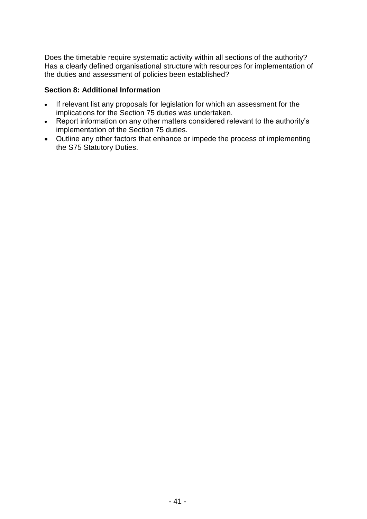Does the timetable require systematic activity within all sections of the authority? Has a clearly defined organisational structure with resources for implementation of the duties and assessment of policies been established?

#### **Section 8: Additional Information**

- If relevant list any proposals for legislation for which an assessment for the implications for the Section 75 duties was undertaken.
- Report information on any other matters considered relevant to the authority's implementation of the Section 75 duties.
- Outline any other factors that enhance or impede the process of implementing the S75 Statutory Duties.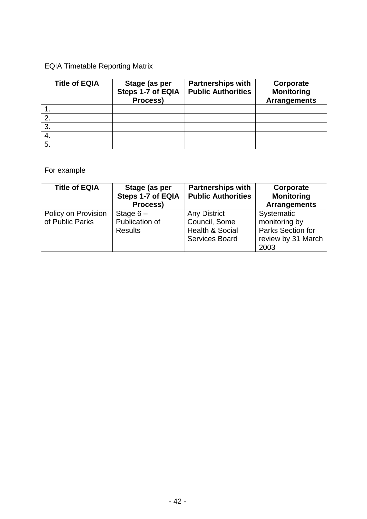## EQIA Timetable Reporting Matrix

| <b>Title of EQIA</b> | Stage (as per<br>Steps 1-7 of EQIA<br>Process) | <b>Partnerships with</b><br><b>Public Authorities</b> | Corporate<br><b>Monitoring</b><br><b>Arrangements</b> |
|----------------------|------------------------------------------------|-------------------------------------------------------|-------------------------------------------------------|
|                      |                                                |                                                       |                                                       |
| 2.                   |                                                |                                                       |                                                       |
| 3                    |                                                |                                                       |                                                       |
| 4.                   |                                                |                                                       |                                                       |
| 5.                   |                                                |                                                       |                                                       |

## For example

| <b>Title of EQIA</b>                   | Stage (as per<br>Steps 1-7 of EQIA<br>Process) | <b>Partnerships with</b><br><b>Public Authorities</b>                                | Corporate<br><b>Monitoring</b><br><b>Arrangements</b>                          |
|----------------------------------------|------------------------------------------------|--------------------------------------------------------------------------------------|--------------------------------------------------------------------------------|
| Policy on Provision<br>of Public Parks | Stage $6-$<br>Publication of<br><b>Results</b> | Any District<br>Council, Some<br><b>Health &amp; Social</b><br><b>Services Board</b> | Systematic<br>monitoring by<br>Parks Section for<br>review by 31 March<br>2003 |